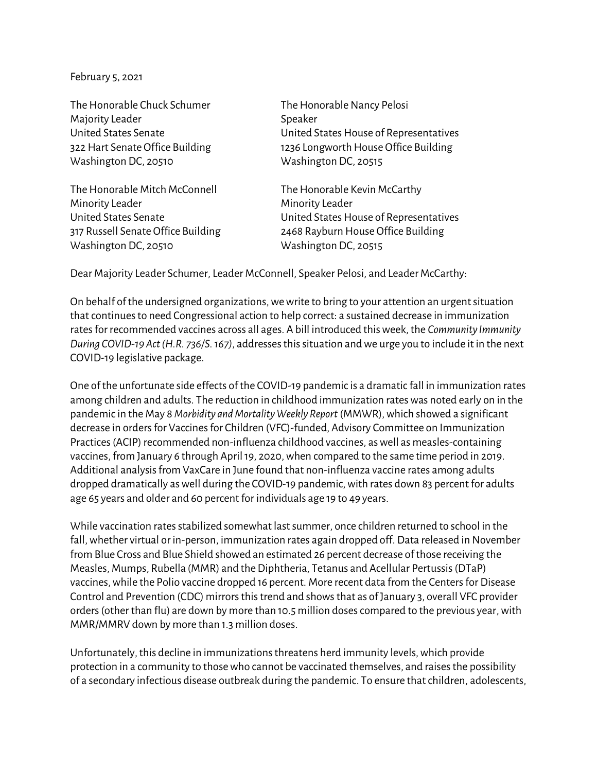February 5, 2021

The Honorable Chuck Schumer The Honorable Nancy Pelosi Majority Leader National Association of the Speaker Washington DC, 20510 Washington DC, 20515

The Honorable Mitch McConnell The Honorable Kevin McCarthy Minority Leader **Minority Leader** Washington DC, 20510 Washington DC, 20515

United States Senate United States House of Representatives 322 Hart Senate Office Building 1236 Longworth House Office Building

United States Senate United States House of Representatives 317 Russell Senate Office Building 2468 Rayburn House Office Building

Dear Majority Leader Schumer, Leader McConnell, Speaker Pelosi, and Leader McCarthy:

On behalf of the undersigned organizations, we write to bring to your attention an urgent situation that continues to need Congressional action to help correct: a sustained decrease in immunization rates for recommended vaccines across all ages. A bill introduced this week, the *Community Immunity During COVID-19 Act(H.R. 736/S. 167)*, addresses this situation and we urge you to include it in the next COVID-19 legislative package.

One of the unfortunate side effects of the COVID-19 pandemic is a dramatic fall in immunization rates among children and adults. The reduction in childhood immunization rates was noted early on in the pandemic in the May 8 *Morbidity and Mortality Weekly Report* (MMWR), which showed a significant decrease in orders for Vaccines for Children (VFC)-funded, Advisory Committee on Immunization Practices (ACIP) recommended non-influenza childhood vaccines, as well as measles-containing vaccines, from January 6 through April 19, 2020, when compared to the same time period in 2019. Additional analysis from VaxCare in June found that non-influenza vaccine rates among adults dropped dramatically as well during the COVID-19 pandemic, with rates down 83 percent for adults age 65 years and older and 60 percent for individuals age 19 to 49 years.

While vaccination rates stabilized somewhat last summer, once children returned to school in the fall, whether virtual or in-person, immunization rates again dropped off. Data released in November from Blue Cross and Blue Shield showed an estimated 26 percent decrease of those receiving the Measles, Mumps, Rubella (MMR) and the Diphtheria, Tetanus and Acellular Pertussis (DTaP) vaccines, while the Polio vaccine dropped 16 percent. More recent data from the Centers for Disease Control and Prevention (CDC) mirrors this trend and showsthat as of January 3, overall VFC provider orders (other than flu) are down by more than 10.5 million dosescompared to the previous year, with MMR/MMRV down by more than 1.3 million doses.

Unfortunately, this decline in immunizations threatens herd immunity levels, which provide protection in a community to those who cannot be vaccinated themselves, and raises the possibility of a secondary infectious disease outbreak during the pandemic. To ensure that children, adolescents,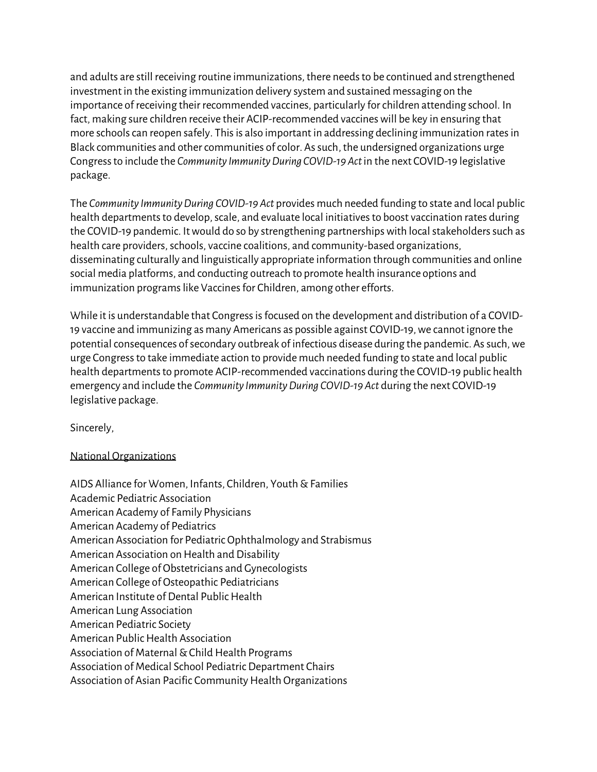and adults are still receiving routine immunizations, there needs to be continued and strengthened investment in the existing immunization delivery system and sustained messaging on the importance of receiving their recommended vaccines, particularly for children attending school. In fact, making sure children receive their ACIP-recommended vaccines will be key in ensuring that more schools can reopen safely. This is also important in addressing declining immunization rates in Black communities and other communities of color. As such, the undersigned organizations urge Congress to include the *Community Immunity During COVID-19 Act* in the next COVID-19 legislative package.

The *Community Immunity During COVID-19 Act* provides much needed funding to state and local public health departments to develop, scale, and evaluate local initiatives to boost vaccination rates during the COVID-19 pandemic. It would do so by strengthening partnerships with local stakeholders such as health care providers, schools, vaccine coalitions, and community-based organizations, disseminating culturally and linguistically appropriate information through communities and online social media platforms, and conducting outreach to promote health insurance options and immunization programs like Vaccines for Children, among other efforts.

While it is understandable that Congress is focused on the development and distribution of a COVID-19 vaccine and immunizing as many Americans as possible against COVID-19, we cannot ignore the potential consequences of secondary outbreak of infectious disease during the pandemic. As such, we urge Congress to take immediate action to provide much needed funding to state and local public health departments to promote ACIP-recommended vaccinations during the COVID-19 public health emergency and include the *Community Immunity During COVID-19 Act* during the next COVID-19 legislative package.

Sincerely,

## National Organizations

AIDS Alliance for Women, Infants, Children, Youth & Families Academic Pediatric Association American Academy of Family Physicians American Academy of Pediatrics American Association for Pediatric Ophthalmology and Strabismus American Association on Health and Disability American College of Obstetricians and Gynecologists American College of Osteopathic Pediatricians American Institute of Dental Public Health American Lung Association American Pediatric Society American Public Health Association Association of Maternal & Child Health Programs Association of Medical School Pediatric Department Chairs Association of Asian Pacific Community Health Organizations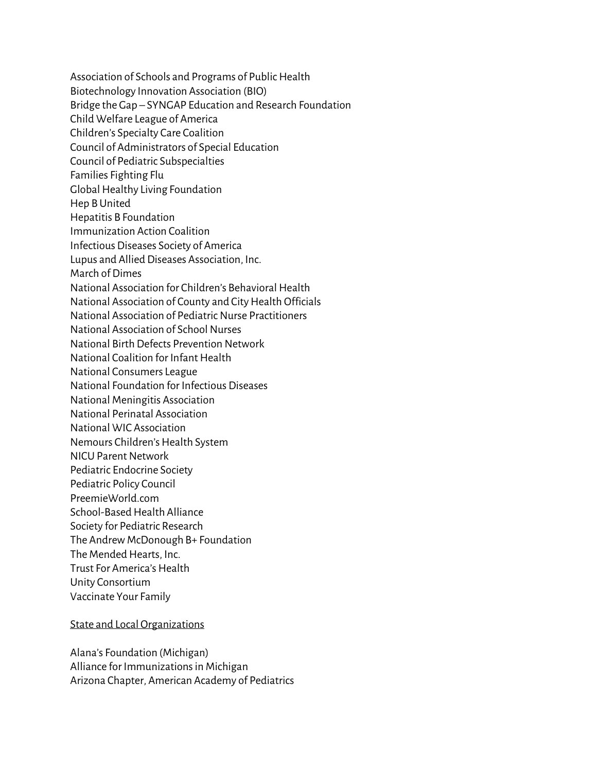Association of Schools and Programs of Public Health Biotechnology Innovation Association (BIO) Bridge the Gap – SYNGAP Education and Research Foundation Child Welfare League of America Children's Specialty Care Coalition Council of Administrators of Special Education Council of Pediatric Subspecialties Families Fighting Flu Global Healthy Living Foundation Hep B United Hepatitis B Foundation Immunization Action Coalition Infectious Diseases Society of America Lupus and Allied Diseases Association, Inc. March of Dimes National Association for Children's Behavioral Health National Association of County and City Health Officials National Association of Pediatric Nurse Practitioners National Association of School Nurses National Birth Defects Prevention Network National Coalition for Infant Health National Consumers League National Foundation for Infectious Diseases National Meningitis Association National Perinatal Association National WIC Association Nemours Children's Health System NICU Parent Network Pediatric Endocrine Society Pediatric Policy Council PreemieWorld.com School-Based Health Alliance Society for Pediatric Research The Andrew McDonough B+ Foundation The Mended Hearts, Inc. Trust For America's Health Unity Consortium Vaccinate Your Family

## State and Local Organizations

Alana's Foundation (Michigan) Alliance for Immunizations in Michigan Arizona Chapter, American Academy of Pediatrics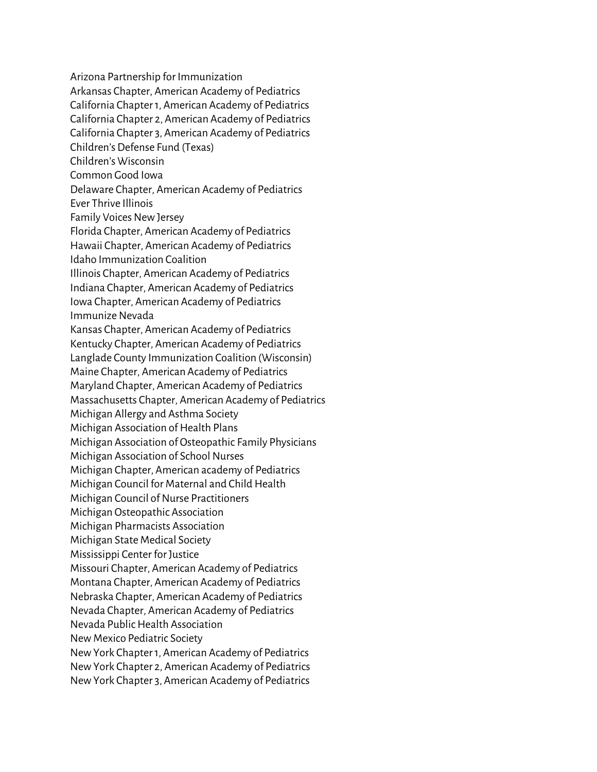Arizona Partnership for Immunization Arkansas Chapter, American Academy of Pediatrics California Chapter 1, American Academy of Pediatrics California Chapter 2, American Academy of Pediatrics California Chapter 3, American Academy of Pediatrics Children's Defense Fund (Texas) Children's Wisconsin Common Good Iowa Delaware Chapter, American Academy of Pediatrics Ever Thrive Illinois Family Voices New Jersey Florida Chapter, American Academy of Pediatrics Hawaii Chapter, American Academy of Pediatrics Idaho Immunization Coalition Illinois Chapter, American Academy of Pediatrics Indiana Chapter, American Academy of Pediatrics Iowa Chapter, American Academy of Pediatrics Immunize Nevada Kansas Chapter, American Academy of Pediatrics Kentucky Chapter, American Academy of Pediatrics Langlade County Immunization Coalition (Wisconsin) Maine Chapter, American Academy of Pediatrics Maryland Chapter, American Academy of Pediatrics Massachusetts Chapter, American Academy of Pediatrics Michigan Allergy and Asthma Society Michigan Association of Health Plans Michigan Association of Osteopathic Family Physicians Michigan Association of School Nurses Michigan Chapter, American academy of Pediatrics Michigan Council for Maternal and Child Health Michigan Council of Nurse Practitioners Michigan Osteopathic Association Michigan Pharmacists Association Michigan State Medical Society Mississippi Center for Justice Missouri Chapter, American Academy of Pediatrics Montana Chapter, American Academy of Pediatrics Nebraska Chapter, American Academy of Pediatrics Nevada Chapter, American Academy of Pediatrics Nevada Public Health Association New Mexico Pediatric Society New York Chapter 1, American Academy of Pediatrics New York Chapter 2, American Academy of Pediatrics New York Chapter 3, American Academy of Pediatrics